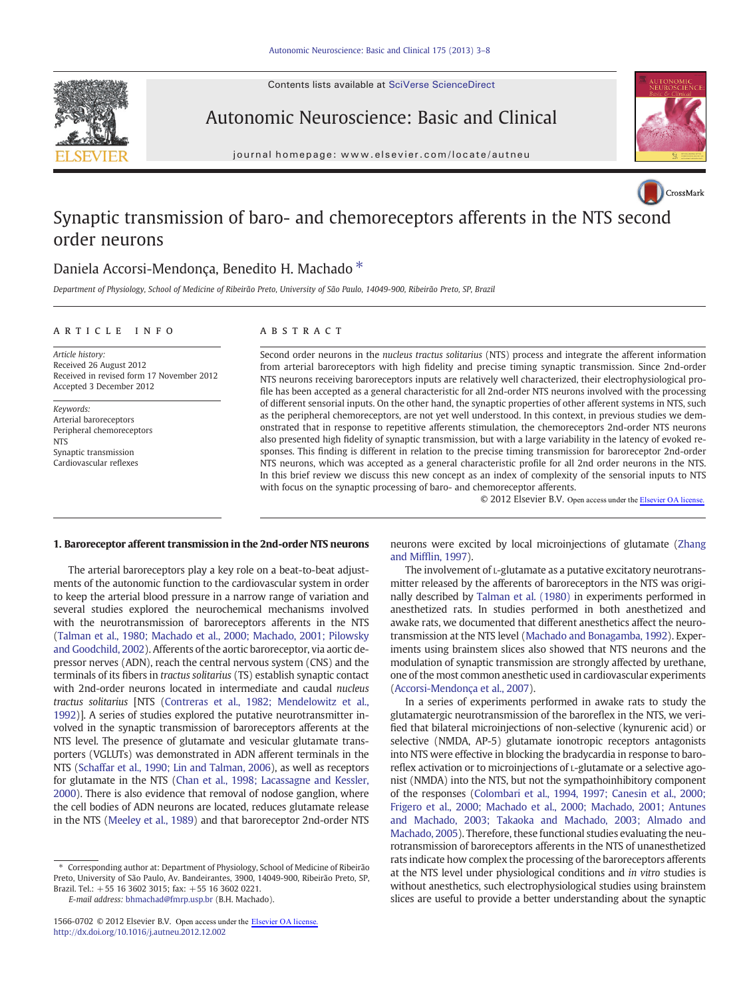Contents lists available at SciVerse ScienceDirect





Autonomic Neuroscience: Basic and Clinical

journal homepage: www.elsevier.com/locate/autneu



# Synaptic transmission of baro- and chemoreceptors afferents in the NTS s[econd](http://crossmark.crossref.org/dialog/?doi=10.1016/j.autneu.2012.12.002&domain=pdf) order neurons

## Daniela Accorsi-Mendonça, Benedito H. Machado \*

Department of Physiology, School of Medicine of Ribeirão Preto, University of São Paulo, 14049-900, Ribeirão Preto, SP, Brazil

### article info abstract

Article history: Received 26 August 2012 Received in revised form 17 November 2012 Accepted 3 December 2012

Keywords: Arterial baroreceptors Peripheral chemoreceptors **NTS** Synaptic transmission Cardiovascular reflexes

Second order neurons in the nucleus tractus solitarius (NTS) process and integrate the afferent information from arterial baroreceptors with high fidelity and precise timing synaptic transmission. Since 2nd-order NTS neurons receiving baroreceptors inputs are relatively well characterized, their electrophysiological profile has been accepted as a general characteristic for all 2nd-order NTS neurons involved with the processing of different sensorial inputs. On the other hand, the synaptic properties of other afferent systems in NTS, such as the peripheral chemoreceptors, are not yet well understood. In this context, in previous studies we demonstrated that in response to repetitive afferents stimulation, the chemoreceptors 2nd-order NTS neurons also presented high fidelity of synaptic transmission, but with a large variability in the latency of evoked responses. This finding is different in relation to the precise timing transmission for baroreceptor 2nd-order NTS neurons, which was accepted as a general characteristic profile for all 2nd order neurons in the NTS. In this brief review we discuss this new concept as an index of complexity of the sensorial inputs to NTS with focus on the synaptic processing of baro- and chemoreceptor afferents.

© 2012 Elsevier B.V. Open access under the [Elsevier OA license.](http://www.elsevier.com/open-access/userlicense/1.0/)

#### 1. Baroreceptor afferent transmission in the 2nd-order NTS neurons

The arterial baroreceptors play a key role on a beat-to-beat adjustments of the autonomic function to the cardiovascular system in order to keep the arterial blood pressure in a narrow range of variation and several studies explored the neurochemical mechanisms involved with the neurotransmission of baroreceptors afferents in the NTS [\(Talman et al., 1980; Machado et al., 2000; Machado, 2001; Pilowsky](#page-5-0) [and Goodchild, 2002\)](#page-5-0). Afferents of the aortic baroreceptor, via aortic depressor nerves (ADN), reach the central nervous system (CNS) and the terminals of its fibers in tractus solitarius (TS) establish synaptic contact with 2nd-order neurons located in intermediate and caudal nucleus tractus solitarius [NTS [\(Contreras et al., 1982; Mendelowitz et al.,](#page-4-0) [1992](#page-4-0))]. A series of studies explored the putative neurotransmitter involved in the synaptic transmission of baroreceptors afferents at the NTS level. The presence of glutamate and vesicular glutamate transporters (VGLUTs) was demonstrated in ADN afferent terminals in the NTS ([Schaffar et al., 1990; Lin and Talman, 2006](#page-4-0)), as well as receptors for glutamate in the NTS [\(Chan et al., 1998; Lacassagne and Kessler,](#page-4-0) [2000](#page-4-0)). There is also evidence that removal of nodose ganglion, where the cell bodies of ADN neurons are located, reduces glutamate release in the NTS [\(Meeley et al., 1989\)](#page-4-0) and that baroreceptor 2nd-order NTS

⁎ Corresponding author at: Department of Physiology, School of Medicine of Ribeirão Preto, University of São Paulo, Av. Bandeirantes, 3900, 14049-900, Ribeirão Preto, SP, Brazil. Tel.: +55 16 3602 3015; fax: +55 16 3602 0221.

E-mail address: [bhmachad@fmrp.usp.br](mailto:bhmachad@fmrp.usp.br) (B.H. Machado).

neurons were excited by local microinjections of glutamate [\(Zhang](#page-5-0) and Miffl[in, 1997](#page-5-0)).

The involvement of L-glutamate as a putative excitatory neurotransmitter released by the afferents of baroreceptors in the NTS was originally described by [Talman et al. \(1980\)](#page-5-0) in experiments performed in anesthetized rats. In studies performed in both anesthetized and awake rats, we documented that different anesthetics affect the neurotransmission at the NTS level [\(Machado and Bonagamba, 1992\)](#page-4-0). Experiments using brainstem slices also showed that NTS neurons and the modulation of synaptic transmission are strongly affected by urethane, one of the most common anesthetic used in cardiovascular experiments [\(Accorsi-Mendonça et al., 2007\)](#page-4-0).

In a series of experiments performed in awake rats to study the glutamatergic neurotransmission of the baroreflex in the NTS, we verified that bilateral microinjections of non-selective (kynurenic acid) or selective (NMDA, AP-5) glutamate ionotropic receptors antagonists into NTS were effective in blocking the bradycardia in response to baroreflex activation or to microinjections of L-glutamate or a selective agonist (NMDA) into the NTS, but not the sympathoinhibitory component of the responses [\(Colombari et al., 1994, 1997; Canesin et al., 2000;](#page-4-0) [Frigero et al., 2000; Machado et al., 2000; Machado, 2001; Antunes](#page-4-0) [and Machado, 2003; Takaoka and Machado, 2003; Almado and](#page-4-0) [Machado, 2005](#page-4-0)). Therefore, these functional studies evaluating the neurotransmission of baroreceptors afferents in the NTS of unanesthetized rats indicate how complex the processing of the baroreceptors afferents at the NTS level under physiological conditions and in vitro studies is without anesthetics, such electrophysiological studies using brainstem slices are useful to provide a better understanding about the synaptic

<sup>1566-0702 © 2012</sup> Elsevier B.V. Open access under the [Elsevier OA license.](http://www.elsevier.com/open-access/userlicense/1.0/) <http://dx.doi.org/10.1016/j.autneu.2012.12.002>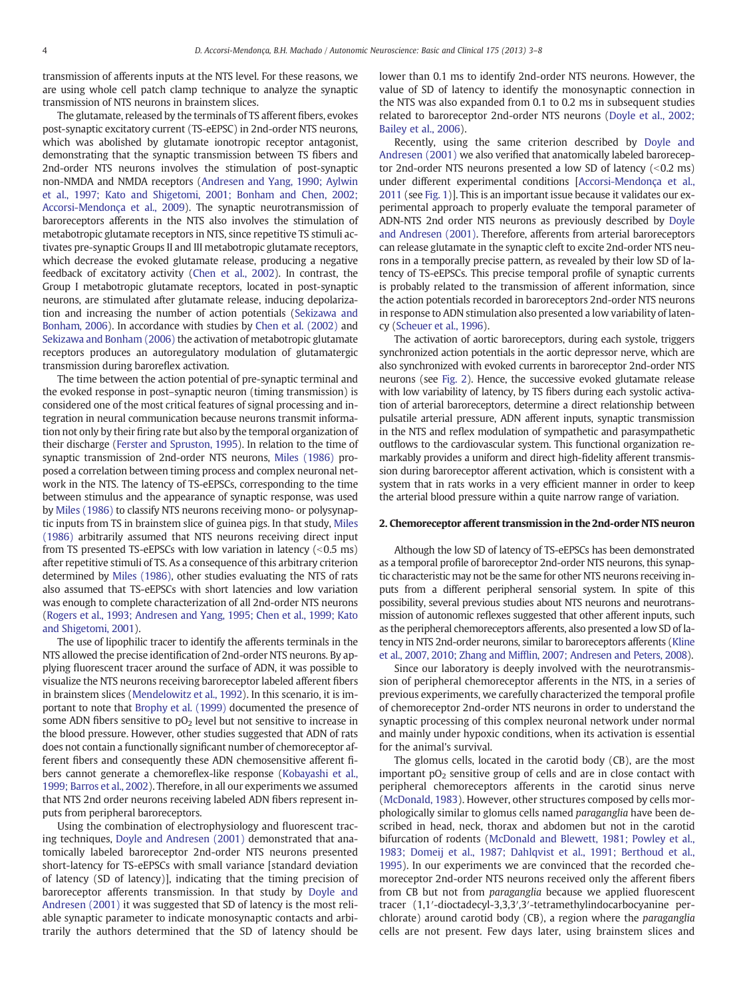transmission of afferents inputs at the NTS level. For these reasons, we are using whole cell patch clamp technique to analyze the synaptic transmission of NTS neurons in brainstem slices.

The glutamate, released by the terminals of TS afferent fibers, evokes post-synaptic excitatory current (TS-eEPSC) in 2nd-order NTS neurons, which was abolished by glutamate ionotropic receptor antagonist, demonstrating that the synaptic transmission between TS fibers and 2nd-order NTS neurons involves the stimulation of post-synaptic non-NMDA and NMDA receptors [\(Andresen and Yang, 1990; Aylwin](#page-4-0) [et al., 1997; Kato and Shigetomi, 2001; Bonham and Chen, 2002;](#page-4-0) [Accorsi-Mendonça et al., 2009\)](#page-4-0). The synaptic neurotransmission of baroreceptors afferents in the NTS also involves the stimulation of metabotropic glutamate receptors in NTS, since repetitive TS stimuli activates pre-synaptic Groups II and III metabotropic glutamate receptors, which decrease the evoked glutamate release, producing a negative feedback of excitatory activity ([Chen et al., 2002](#page-4-0)). In contrast, the Group I metabotropic glutamate receptors, located in post-synaptic neurons, are stimulated after glutamate release, inducing depolarization and increasing the number of action potentials ([Sekizawa and](#page-4-0) [Bonham, 2006\)](#page-4-0). In accordance with studies by [Chen et al. \(2002\)](#page-4-0) and [Sekizawa and Bonham \(2006\)](#page-4-0) the activation of metabotropic glutamate receptors produces an autoregulatory modulation of glutamatergic transmission during baroreflex activation.

The time between the action potential of pre-synaptic terminal and the evoked response in post–synaptic neuron (timing transmission) is considered one of the most critical features of signal processing and integration in neural communication because neurons transmit information not only by their firing rate but also by the temporal organization of their discharge ([Ferster and Spruston, 1995\)](#page-4-0). In relation to the time of synaptic transmission of 2nd-order NTS neurons, [Miles \(1986\)](#page-4-0) proposed a correlation between timing process and complex neuronal network in the NTS. The latency of TS-eEPSCs, corresponding to the time between stimulus and the appearance of synaptic response, was used by [Miles \(1986\)](#page-4-0) to classify NTS neurons receiving mono- or polysynaptic inputs from TS in brainstem slice of guinea pigs. In that study, [Miles](#page-4-0) [\(1986\)](#page-4-0) arbitrarily assumed that NTS neurons receiving direct input from TS presented TS-eEPSCs with low variation in latency  $(< 0.5$  ms) after repetitive stimuli of TS. As a consequence of this arbitrary criterion determined by [Miles \(1986\)](#page-4-0), other studies evaluating the NTS of rats also assumed that TS-eEPSCs with short latencies and low variation was enough to complete characterization of all 2nd-order NTS neurons [\(Rogers et al., 1993; Andresen and Yang, 1995; Chen et al., 1999; Kato](#page-4-0) [and Shigetomi, 2001\)](#page-4-0).

The use of lipophilic tracer to identify the afferents terminals in the NTS allowed the precise identification of 2nd-order NTS neurons. By applying fluorescent tracer around the surface of ADN, it was possible to visualize the NTS neurons receiving baroreceptor labeled afferent fibers in brainstem slices [\(Mendelowitz et al., 1992\)](#page-4-0). In this scenario, it is important to note that [Brophy et al. \(1999\)](#page-4-0) documented the presence of some ADN fibers sensitive to  $pO<sub>2</sub>$  level but not sensitive to increase in the blood pressure. However, other studies suggested that ADN of rats does not contain a functionally significant number of chemoreceptor afferent fibers and consequently these ADN chemosensitive afferent fibers cannot generate a chemoreflex-like response ([Kobayashi et al.,](#page-4-0) [1999; Barros et al., 2002\)](#page-4-0). Therefore, in all our experiments we assumed that NTS 2nd order neurons receiving labeled ADN fibers represent inputs from peripheral baroreceptors.

Using the combination of electrophysiology and fluorescent tracing techniques, [Doyle and Andresen \(2001\)](#page-4-0) demonstrated that anatomically labeled baroreceptor 2nd-order NTS neurons presented short-latency for TS-eEPSCs with small variance [standard deviation of latency (SD of latency)], indicating that the timing precision of baroreceptor afferents transmission. In that study by [Doyle and](#page-4-0) [Andresen \(2001\)](#page-4-0) it was suggested that SD of latency is the most reliable synaptic parameter to indicate monosynaptic contacts and arbitrarily the authors determined that the SD of latency should be

lower than 0.1 ms to identify 2nd-order NTS neurons. However, the value of SD of latency to identify the monosynaptic connection in the NTS was also expanded from 0.1 to 0.2 ms in subsequent studies related to baroreceptor 2nd-order NTS neurons ([Doyle et al., 2002;](#page-4-0) [Bailey et al., 2006](#page-4-0)).

Recently, using the same criterion described by [Doyle and](#page-4-0) [Andresen \(2001\)](#page-4-0) we also verified that anatomically labeled baroreceptor 2nd-order NTS neurons presented a low SD of latency  $( $0.2 \text{ ms}$ )$ under different experimental conditions [\[Accorsi-Mendonça et al.,](#page-4-0) [2011](#page-4-0) (see [Fig. 1](#page-2-0))]. This is an important issue because it validates our experimental approach to properly evaluate the temporal parameter of ADN-NTS 2nd order NTS neurons as previously described by [Doyle](#page-4-0) [and Andresen \(2001\).](#page-4-0) Therefore, afferents from arterial baroreceptors can release glutamate in the synaptic cleft to excite 2nd-order NTS neurons in a temporally precise pattern, as revealed by their low SD of latency of TS-eEPSCs. This precise temporal profile of synaptic currents is probably related to the transmission of afferent information, since the action potentials recorded in baroreceptors 2nd-order NTS neurons in response to ADN stimulation also presented a low variability of latency [\(Scheuer et al., 1996](#page-4-0)).

The activation of aortic baroreceptors, during each systole, triggers synchronized action potentials in the aortic depressor nerve, which are also synchronized with evoked currents in baroreceptor 2nd-order NTS neurons (see [Fig. 2](#page-3-0)). Hence, the successive evoked glutamate release with low variability of latency, by TS fibers during each systolic activation of arterial baroreceptors, determine a direct relationship between pulsatile arterial pressure, ADN afferent inputs, synaptic transmission in the NTS and reflex modulation of sympathetic and parasympathetic outflows to the cardiovascular system. This functional organization remarkably provides a uniform and direct high-fidelity afferent transmission during baroreceptor afferent activation, which is consistent with a system that in rats works in a very efficient manner in order to keep the arterial blood pressure within a quite narrow range of variation.

#### 2. Chemoreceptor afferent transmission in the 2nd-order NTS neuron

Although the low SD of latency of TS-eEPSCs has been demonstrated as a temporal profile of baroreceptor 2nd-order NTS neurons, this synaptic characteristic may not be the same for other NTS neurons receiving inputs from a different peripheral sensorial system. In spite of this possibility, several previous studies about NTS neurons and neurotransmission of autonomic reflexes suggested that other afferent inputs, such as the peripheral chemoreceptors afferents, also presented a low SD of latency in NTS 2nd-order neurons, similar to baroreceptors afferents ([Kline](#page-4-0) et al., 2007, 2010; Zhang and Miffl[in, 2007; Andresen and Peters, 2008\)](#page-4-0).

Since our laboratory is deeply involved with the neurotransmission of peripheral chemoreceptor afferents in the NTS, in a series of previous experiments, we carefully characterized the temporal profile of chemoreceptor 2nd-order NTS neurons in order to understand the synaptic processing of this complex neuronal network under normal and mainly under hypoxic conditions, when its activation is essential for the animal's survival.

The glomus cells, located in the carotid body (CB), are the most important  $pO<sub>2</sub>$  sensitive group of cells and are in close contact with peripheral chemoreceptors afferents in the carotid sinus nerve [\(McDonald, 1983](#page-4-0)). However, other structures composed by cells morphologically similar to glomus cells named paraganglia have been described in head, neck, thorax and abdomen but not in the carotid bifurcation of rodents [\(McDonald and Blewett, 1981; Powley et al.,](#page-4-0) [1983; Domeij et al., 1987; Dahlqvist et al., 1991; Berthoud et al.,](#page-4-0) [1995\)](#page-4-0). In our experiments we are convinced that the recorded chemoreceptor 2nd-order NTS neurons received only the afferent fibers from CB but not from paraganglia because we applied fluorescent tracer (1,1′-dioctadecyl-3,3,3′,3′-tetramethylindocarbocyanine perchlorate) around carotid body (CB), a region where the paraganglia cells are not present. Few days later, using brainstem slices and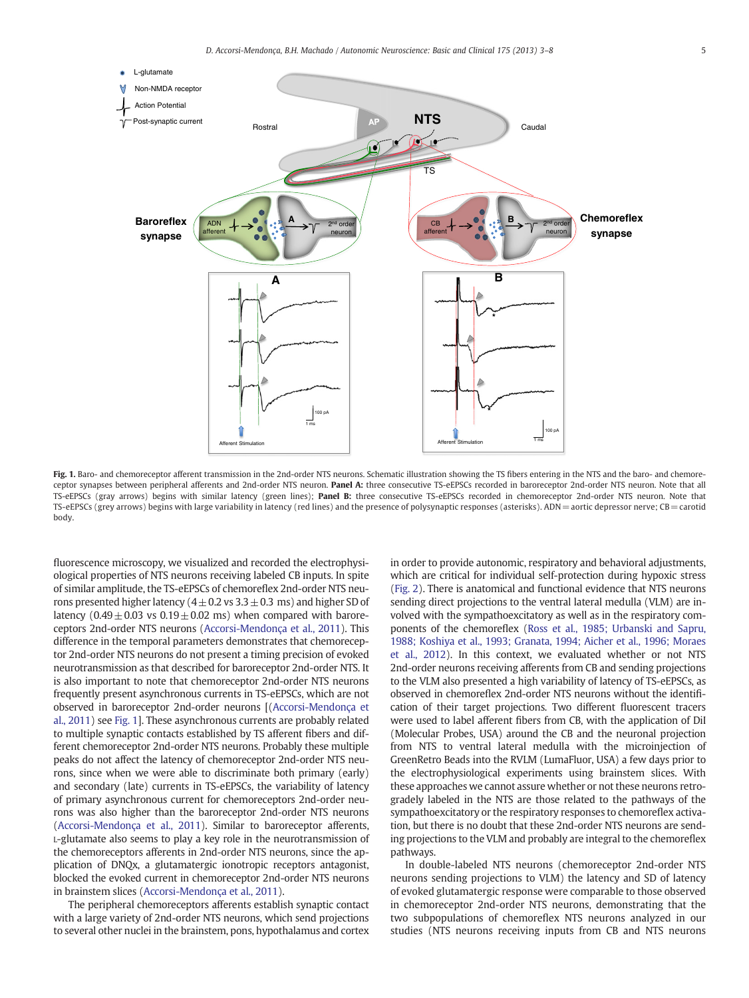<span id="page-2-0"></span>

Fig. 1. Baro- and chemoreceptor afferent transmission in the 2nd-order NTS neurons. Schematic illustration showing the TS fibers entering in the NTS and the baro- and chemoreceptor synapses between peripheral afferents and 2nd-order NTS neuron. Panel A: three consecutive TS-eEPSCs recorded in baroreceptor 2nd-order NTS neuron. Note that all TS-eEPSCs (gray arrows) begins with similar latency (green lines); **Panel B:** three consecutive TS-eEPSCs recorded in chemoreceptor 2nd-order NTS neuron. Note that TS-eEPSCs (grey arrows) begins with large variability in latency (red lines) and the presence of polysynaptic responses (asterisks). ADN= aortic depressor nerve; CB=carotid body.

fluorescence microscopy, we visualized and recorded the electrophysiological properties of NTS neurons receiving labeled CB inputs. In spite of similar amplitude, the TS-eEPSCs of chemoreflex 2nd-order NTS neurons presented higher latency ( $4 \pm 0.2$  vs  $3.3 \pm 0.3$  ms) and higher SD of latency  $(0.49 \pm 0.03 \text{ vs } 0.19 \pm 0.02 \text{ ms})$  when compared with baroreceptors 2nd-order NTS neurons [\(Accorsi-Mendonça et al., 2011\)](#page-4-0). This difference in the temporal parameters demonstrates that chemoreceptor 2nd-order NTS neurons do not present a timing precision of evoked neurotransmission as that described for baroreceptor 2nd-order NTS. It is also important to note that chemoreceptor 2nd-order NTS neurons frequently present asynchronous currents in TS-eEPSCs, which are not observed in baroreceptor 2nd-order neurons [[\(Accorsi-Mendonça et](#page-4-0) [al., 2011](#page-4-0)) see Fig. 1]. These asynchronous currents are probably related to multiple synaptic contacts established by TS afferent fibers and different chemoreceptor 2nd-order NTS neurons. Probably these multiple peaks do not affect the latency of chemoreceptor 2nd-order NTS neurons, since when we were able to discriminate both primary (early) and secondary (late) currents in TS-eEPSCs, the variability of latency of primary asynchronous current for chemoreceptors 2nd-order neurons was also higher than the baroreceptor 2nd-order NTS neurons [\(Accorsi-Mendonça et al., 2011\)](#page-4-0). Similar to baroreceptor afferents, L-glutamate also seems to play a key role in the neurotransmission of the chemoreceptors afferents in 2nd-order NTS neurons, since the application of DNQx, a glutamatergic ionotropic receptors antagonist, blocked the evoked current in chemoreceptor 2nd-order NTS neurons in brainstem slices [\(Accorsi-Mendonça et al., 2011](#page-4-0)).

The peripheral chemoreceptors afferents establish synaptic contact with a large variety of 2nd-order NTS neurons, which send projections to several other nuclei in the brainstem, pons, hypothalamus and cortex

in order to provide autonomic, respiratory and behavioral adjustments, which are critical for individual self-protection during hypoxic stress [\(Fig. 2\)](#page-3-0). There is anatomical and functional evidence that NTS neurons sending direct projections to the ventral lateral medulla (VLM) are involved with the sympathoexcitatory as well as in the respiratory components of the chemoreflex ([Ross et al., 1985; Urbanski and Sapru,](#page-4-0) [1988; Koshiya et al., 1993; Granata, 1994; Aicher et al., 1996; Moraes](#page-4-0) [et al., 2012\)](#page-4-0). In this context, we evaluated whether or not NTS 2nd-order neurons receiving afferents from CB and sending projections to the VLM also presented a high variability of latency of TS-eEPSCs, as observed in chemoreflex 2nd-order NTS neurons without the identification of their target projections. Two different fluorescent tracers were used to label afferent fibers from CB, with the application of DiI (Molecular Probes, USA) around the CB and the neuronal projection from NTS to ventral lateral medulla with the microinjection of GreenRetro Beads into the RVLM (LumaFluor, USA) a few days prior to the electrophysiological experiments using brainstem slices. With these approaches we cannot assure whether or not these neurons retrogradely labeled in the NTS are those related to the pathways of the sympathoexcitatory or the respiratory responses to chemoreflex activation, but there is no doubt that these 2nd-order NTS neurons are sending projections to the VLM and probably are integral to the chemoreflex pathways.

In double-labeled NTS neurons (chemoreceptor 2nd-order NTS neurons sending projections to VLM) the latency and SD of latency of evoked glutamatergic response were comparable to those observed in chemoreceptor 2nd-order NTS neurons, demonstrating that the two subpopulations of chemoreflex NTS neurons analyzed in our studies (NTS neurons receiving inputs from CB and NTS neurons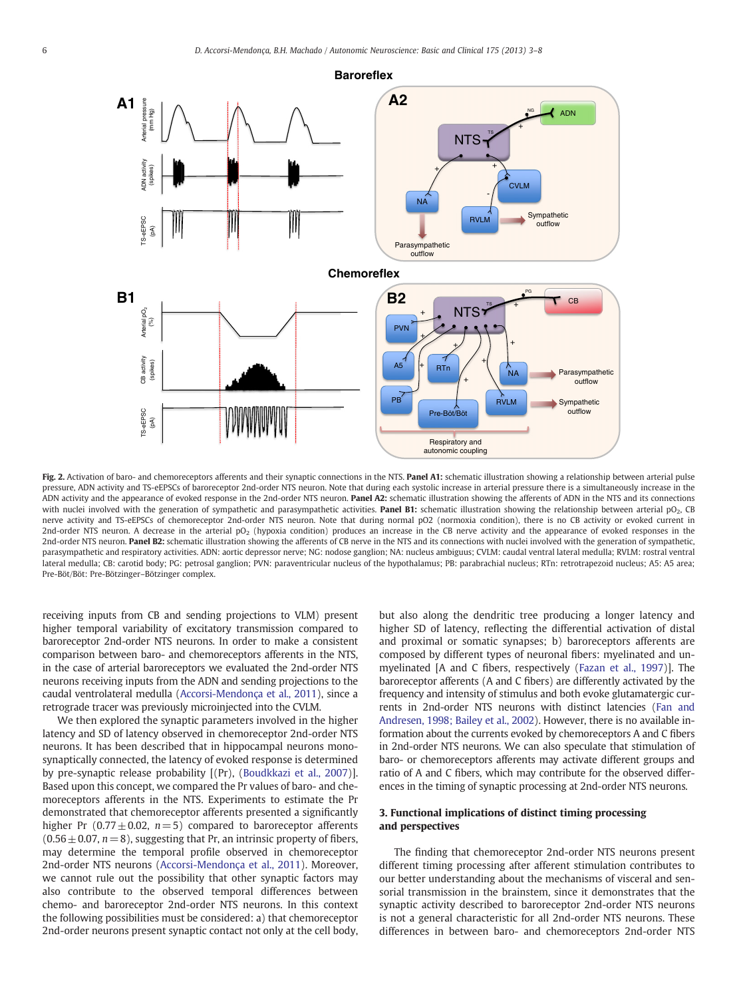<span id="page-3-0"></span>

Fig. 2. Activation of baro- and chemoreceptors afferents and their synaptic connections in the NTS. Panel A1: schematic illustration showing a relationship between arterial pulse pressure, ADN activity and TS-eEPSCs of baroreceptor 2nd-order NTS neuron. Note that during each systolic increase in arterial pressure there is a simultaneously increase in the ADN activity and the appearance of evoked response in the 2nd-order NTS neuron. Panel A2: schematic illustration showing the afferents of ADN in the NTS and its connections with nuclei involved with the generation of sympathetic and parasympathetic activities. Panel B1: schematic illustration showing the relationship between arterial pO<sub>2</sub>, CB nerve activity and TS-eEPSCs of chemoreceptor 2nd-order NTS neuron. Note that during normal pO2 (normoxia condition), there is no CB activity or evoked current in 2nd-order NTS neuron. A decrease in the arterial pO<sub>2</sub> (hypoxia condition) produces an increase in the CB nerve activity and the appearance of evoked responses in the 2nd-order NTS neuron. Panel B2: schematic illustration showing the afferents of CB nerve in the NTS and its connections with nuclei involved with the generation of sympathetic, parasympathetic and respiratory activities. ADN: aortic depressor nerve; NG: nodose ganglion; NA: nucleus ambiguus; CVLM: caudal ventral lateral medulla; RVLM: rostral ventral lateral medulla; CB: carotid body; PG: petrosal ganglion; PVN: paraventricular nucleus of the hypothalamus; PB: parabrachial nucleus; RTn: retrotrapezoid nucleus; A5: A5 area; Pre-Böt/Böt: Pre-Bötzinger–Bötzinger complex.

receiving inputs from CB and sending projections to VLM) present higher temporal variability of excitatory transmission compared to baroreceptor 2nd-order NTS neurons. In order to make a consistent comparison between baro- and chemoreceptors afferents in the NTS, in the case of arterial baroreceptors we evaluated the 2nd-order NTS neurons receiving inputs from the ADN and sending projections to the caudal ventrolateral medulla [\(Accorsi-Mendonça et al., 2011](#page-4-0)), since a retrograde tracer was previously microinjected into the CVLM.

We then explored the synaptic parameters involved in the higher latency and SD of latency observed in chemoreceptor 2nd-order NTS neurons. It has been described that in hippocampal neurons monosynaptically connected, the latency of evoked response is determined by pre-synaptic release probability [(Pr), [\(Boudkkazi et al., 2007\)](#page-4-0)]. Based upon this concept, we compared the Pr values of baro- and chemoreceptors afferents in the NTS. Experiments to estimate the Pr demonstrated that chemoreceptor afferents presented a significantly higher Pr (0.77 $\pm$ 0.02, n=5) compared to baroreceptor afferents  $(0.56 \pm 0.07, n= 8)$ , suggesting that Pr, an intrinsic property of fibers, may determine the temporal profile observed in chemoreceptor 2nd-order NTS neurons [\(Accorsi-Mendonça et al., 2011](#page-4-0)). Moreover, we cannot rule out the possibility that other synaptic factors may also contribute to the observed temporal differences between chemo- and baroreceptor 2nd-order NTS neurons. In this context the following possibilities must be considered: a) that chemoreceptor 2nd-order neurons present synaptic contact not only at the cell body,

but also along the dendritic tree producing a longer latency and higher SD of latency, reflecting the differential activation of distal and proximal or somatic synapses; b) baroreceptors afferents are composed by different types of neuronal fibers: myelinated and unmyelinated [A and C fibers, respectively ([Fazan et al., 1997\)](#page-4-0)]. The baroreceptor afferents (A and C fibers) are differently activated by the frequency and intensity of stimulus and both evoke glutamatergic currents in 2nd-order NTS neurons with distinct latencies [\(Fan and](#page-4-0) [Andresen, 1998; Bailey et al., 2002\)](#page-4-0). However, there is no available information about the currents evoked by chemoreceptors A and C fibers in 2nd-order NTS neurons. We can also speculate that stimulation of baro- or chemoreceptors afferents may activate different groups and ratio of A and C fibers, which may contribute for the observed differences in the timing of synaptic processing at 2nd-order NTS neurons.

#### 3. Functional implications of distinct timing processing and perspectives

The finding that chemoreceptor 2nd-order NTS neurons present different timing processing after afferent stimulation contributes to our better understanding about the mechanisms of visceral and sensorial transmission in the brainstem, since it demonstrates that the synaptic activity described to baroreceptor 2nd-order NTS neurons is not a general characteristic for all 2nd-order NTS neurons. These differences in between baro- and chemoreceptors 2nd-order NTS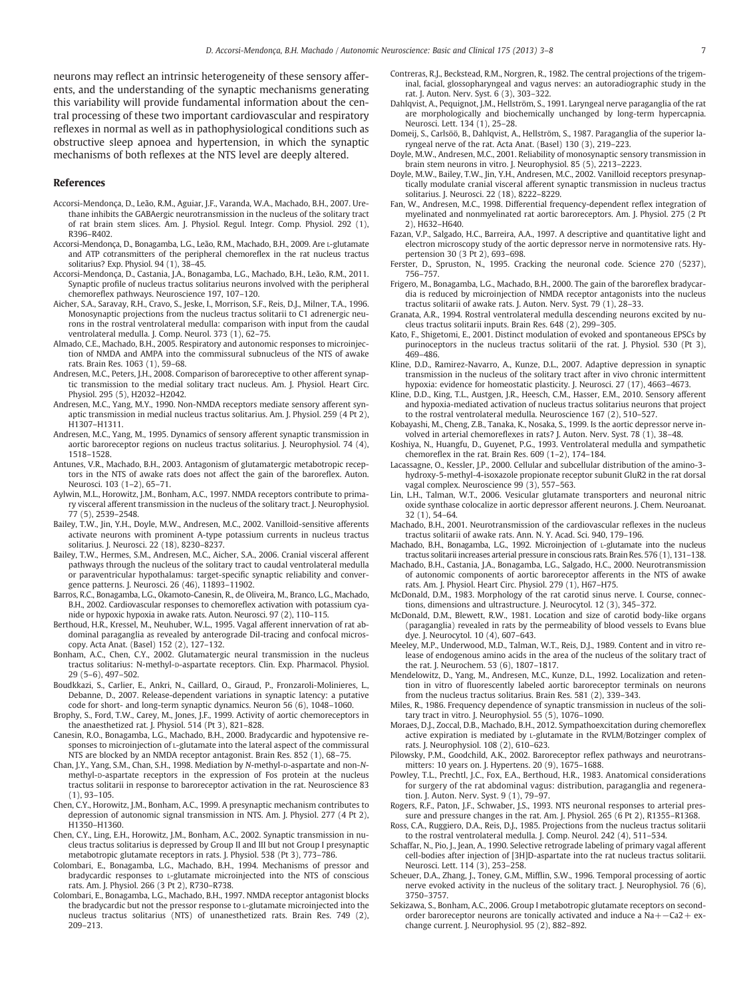<span id="page-4-0"></span>neurons may reflect an intrinsic heterogeneity of these sensory afferents, and the understanding of the synaptic mechanisms generating this variability will provide fundamental information about the central processing of these two important cardiovascular and respiratory reflexes in normal as well as in pathophysiological conditions such as obstructive sleep apnoea and hypertension, in which the synaptic mechanisms of both reflexes at the NTS level are deeply altered.

#### References

- Accorsi-Mendonça, D., Leão, R.M., Aguiar, J.F., Varanda, W.A., Machado, B.H., 2007. Urethane inhibits the GABAergic neurotransmission in the nucleus of the solitary tract of rat brain stem slices. Am. J. Physiol. Regul. Integr. Comp. Physiol. 292 (1), R396–R402.
- Accorsi-Mendonça, D., Bonagamba, L.G., Leão, R.M., Machado, B.H., 2009. Are L-glutamate and ATP cotransmitters of the peripheral chemoreflex in the rat nucleus tractus solitarius? Exp. Physiol. 94 (1), 38–45.
- Accorsi-Mendonça, D., Castania, J.A., Bonagamba, L.G., Machado, B.H., Leão, R.M., 2011. Synaptic profile of nucleus tractus solitarius neurons involved with the peripheral chemoreflex pathways. Neuroscience 197, 107–120.
- Aicher, S.A., Saravay, R.H., Cravo, S., Jeske, I., Morrison, S.F., Reis, D.J., Milner, T.A., 1996. Monosynaptic projections from the nucleus tractus solitarii to C1 adrenergic neurons in the rostral ventrolateral medulla: comparison with input from the caudal
- ventrolateral medulla. J. Comp. Neurol. 373 (1), 62–75. Almado, C.E., Machado, B.H., 2005. Respiratory and autonomic responses to microinjection of NMDA and AMPA into the commissural subnucleus of the NTS of awake rats. Brain Res. 1063 (1), 59–68.
- Andresen, M.C., Peters, J.H., 2008. Comparison of baroreceptive to other afferent synaptic transmission to the medial solitary tract nucleus. Am. J. Physiol. Heart Circ. Physiol. 295 (5), H2032–H2042.
- Andresen, M.C., Yang, M.Y., 1990. Non-NMDA receptors mediate sensory afferent synaptic transmission in medial nucleus tractus solitarius. Am. J. Physiol. 259 (4 Pt 2), H1307–H1311.
- Andresen, M.C., Yang, M., 1995. Dynamics of sensory afferent synaptic transmission in aortic baroreceptor regions on nucleus tractus solitarius. J. Neurophysiol. 74 (4), 1518–1528.
- Antunes, V.R., Machado, B.H., 2003. Antagonism of glutamatergic metabotropic receptors in the NTS of awake rats does not affect the gain of the baroreflex. Auton. Neurosci. 103 (1–2), 65–71.
- Aylwin, M.L., Horowitz, J.M., Bonham, A.C., 1997. NMDA receptors contribute to primary visceral afferent transmission in the nucleus of the solitary tract. J. Neurophysiol. 77 (5), 2539–2548.
- Bailey, T.W., Jin, Y.H., Doyle, M.W., Andresen, M.C., 2002. Vanilloid-sensitive afferents activate neurons with prominent A-type potassium currents in nucleus tractus solitarius. J. Neurosci. 22 (18), 8230–8237.
- Bailey, T.W., Hermes, S.M., Andresen, M.C., Aicher, S.A., 2006. Cranial visceral afferent pathways through the nucleus of the solitary tract to caudal ventrolateral medulla or paraventricular hypothalamus: target-specific synaptic reliability and convergence patterns. J. Neurosci. 26 (46), 11893–11902.
- Barros, R.C., Bonagamba, L.G., Okamoto-Canesin, R., de Oliveira, M., Branco, L.G., Machado, B.H., 2002. Cardiovascular responses to chemoreflex activation with potassium cyanide or hypoxic hypoxia in awake rats. Auton. Neurosci. 97 (2), 110–115.
- Berthoud, H.R., Kressel, M., Neuhuber, W.L., 1995. Vagal afferent innervation of rat abdominal paraganglia as revealed by anterograde DiI-tracing and confocal microscopy. Acta Anat. (Basel) 152 (2), 127–132.
- Bonham, A.C., Chen, C.Y., 2002. Glutamatergic neural transmission in the nucleus tractus solitarius: N-methyl-D-aspartate receptors. Clin. Exp. Pharmacol. Physiol. 29 (5–6), 497–502.
- Boudkkazi, S., Carlier, E., Ankri, N., Caillard, O., Giraud, P., Fronzaroli-Molinieres, L., Debanne, D., 2007. Release-dependent variations in synaptic latency: a putative code for short- and long-term synaptic dynamics. Neuron 56 (6), 1048–1060.
- Brophy, S., Ford, T.W., Carey, M., Jones, J.F., 1999. Activity of aortic chemoreceptors in the anaesthetized rat. J. Physiol. 514 (Pt 3), 821–828.
- Canesin, R.O., Bonagamba, L.G., Machado, B.H., 2000. Bradycardic and hypotensive responses to microinjection of L-glutamate into the lateral aspect of the commissural NTS are blocked by an NMDA receptor antagonist. Brain Res. 852 (1), 68–75.
- Chan, J.Y., Yang, S.M., Chan, S.H., 1998. Mediation by N-methyl-D-aspartate and non-Nmethyl-D-aspartate receptors in the expression of Fos protein at the nucleus tractus solitarii in response to baroreceptor activation in the rat. Neuroscience 83 (1), 93–105.
- Chen, C.Y., Horowitz, J.M., Bonham, A.C., 1999. A presynaptic mechanism contributes to depression of autonomic signal transmission in NTS. Am. J. Physiol. 277 (4 Pt 2), H1350–H1360.
- Chen, C.Y., Ling, E.H., Horowitz, J.M., Bonham, A.C., 2002. Synaptic transmission in nucleus tractus solitarius is depressed by Group II and III but not Group I presynaptic metabotropic glutamate receptors in rats. J. Physiol. 538 (Pt 3), 773–786.
- Colombari, E., Bonagamba, L.G., Machado, B.H., 1994. Mechanisms of pressor and bradycardic responses to L-glutamate microinjected into the NTS of conscious rats. Am. J. Physiol. 266 (3 Pt 2), R730–R738.
- Colombari, E., Bonagamba, L.G., Machado, B.H., 1997. NMDA receptor antagonist blocks the bradycardic but not the pressor response to L-glutamate microinjected into the nucleus tractus solitarius (NTS) of unanesthetized rats. Brain Res. 749 (2), 209–213.
- Contreras, R.J., Beckstead, R.M., Norgren, R., 1982. The central projections of the trigeminal, facial, glossopharyngeal and vagus nerves: an autoradiographic study in the rat. J. Auton. Nerv. Syst. 6 (3), 303–322.
- Dahlqvist, A., Pequignot, J.M., Hellström, S., 1991. Laryngeal nerve paraganglia of the rat are morphologically and biochemically unchanged by long-term hypercapnia. Neurosci. Lett. 134 (1), 25–28.
- Domeij, S., Carlsöö, B., Dahlqvist, A., Hellström, S., 1987. Paraganglia of the superior laryngeal nerve of the rat. Acta Anat. (Basel) 130 (3), 219–223.
- Doyle, M.W., Andresen, M.C., 2001. Reliability of monosynaptic sensory transmission in brain stem neurons in vitro. J. Neurophysiol. 85 (5), 2213–2223.
- Doyle, M.W., Bailey, T.W., Jin, Y.H., Andresen, M.C., 2002. Vanilloid receptors presynaptically modulate cranial visceral afferent synaptic transmission in nucleus tractus solitarius. J. Neurosci. 22 (18), 8222–8229.
- Fan, W., Andresen, M.C., 1998. Differential frequency-dependent reflex integration of myelinated and nonmyelinated rat aortic baroreceptors. Am. J. Physiol. 275 (2 Pt 2), H632–H640.
- Fazan, V.P., Salgado, H.C., Barreira, A.A., 1997. A descriptive and quantitative light and electron microscopy study of the aortic depressor nerve in normotensive rats. Hypertension 30 (3 Pt 2), 693–698.
- Ferster, D., Spruston, N., 1995. Cracking the neuronal code. Science 270 (5237), 756–757.
- Frigero, M., Bonagamba, L.G., Machado, B.H., 2000. The gain of the baroreflex bradycardia is reduced by microinjection of NMDA receptor antagonists into the nucleus tractus solitarii of awake rats. J. Auton. Nerv. Syst. 79 (1), 28–33.
- Granata, A.R., 1994. Rostral ventrolateral medulla descending neurons excited by nucleus tractus solitarii inputs. Brain Res. 648 (2), 299–305.
- Kato, F., Shigetomi, E., 2001. Distinct modulation of evoked and spontaneous EPSCs by purinoceptors in the nucleus tractus solitarii of the rat. J. Physiol. 530 (Pt 3), 469–486.
- Kline, D.D., Ramirez-Navarro, A., Kunze, D.L., 2007. Adaptive depression in synaptic transmission in the nucleus of the solitary tract after in vivo chronic intermittent hypoxia: evidence for homeostatic plasticity. J. Neurosci. 27 (17), 4663–4673.
- Kline, D.D., King, T.L., Austgen, J.R., Heesch, C.M., Hasser, E.M., 2010. Sensory afferent and hypoxia-mediated activation of nucleus tractus solitarius neurons that project to the rostral ventrolateral medulla. Neuroscience 167 (2), 510–527.
- Kobayashi, M., Cheng, Z.B., Tanaka, K., Nosaka, S., 1999. Is the aortic depressor nerve involved in arterial chemoreflexes in rats? J. Auton. Nerv. Syst. 78 (1), 38–48.
- Koshiya, N., Huangfu, D., Guyenet, P.G., 1993. Ventrolateral medulla and sympathetic chemoreflex in the rat. Brain Res. 609 (1–2), 174–184.
- Lacassagne, O., Kessler, J.P., 2000. Cellular and subcellular distribution of the amino-3 hydroxy-5-methyl-4-isoxazole propionate receptor subunit GluR2 in the rat dorsal vagal complex. Neuroscience 99 (3), 557–563.
- Lin, L.H., Talman, W.T., 2006. Vesicular glutamate transporters and neuronal nitric oxide synthase colocalize in aortic depressor afferent neurons. J. Chem. Neuroanat. 32 (1), 54–64.
- Machado, B.H., 2001. Neurotransmission of the cardiovascular reflexes in the nucleus tractus solitarii of awake rats. Ann. N. Y. Acad. Sci. 940, 179–196.
- Machado, B.H., Bonagamba, L.G., 1992. Microinjection of L-glutamate into the nucleus tractus solitarii increases arterial pressure in conscious rats. Brain Res. 576 (1), 131–138.
- Machado, B.H., Castania, J.A., Bonagamba, L.G., Salgado, H.C., 2000. Neurotransmission of autonomic components of aortic baroreceptor afferents in the NTS of awake rats. Am. J. Physiol. Heart Circ. Physiol. 279 (1), H67–H75.
- McDonald, D.M., 1983. Morphology of the rat carotid sinus nerve. I. Course, connections, dimensions and ultrastructure. J. Neurocytol. 12 (3), 345–372.
- McDonald, D.M., Blewett, R.W., 1981. Location and size of carotid body-like organs (paraganglia) revealed in rats by the permeability of blood vessels to Evans blue dye. J. Neurocytol. 10 (4), 607–643.
- Meeley, M.P., Underwood, M.D., Talman, W.T., Reis, D.J., 1989. Content and in vitro release of endogenous amino acids in the area of the nucleus of the solitary tract of the rat. J. Neurochem. 53 (6), 1807–1817.
- Mendelowitz, D., Yang, M., Andresen, M.C., Kunze, D.L., 1992. Localization and retention in vitro of fluorescently labeled aortic baroreceptor terminals on neurons from the nucleus tractus solitarius. Brain Res. 581 (2), 339–343.
- Miles, R., 1986. Frequency dependence of synaptic transmission in nucleus of the solitary tract in vitro. J. Neurophysiol. 55 (5), 1076–1090.
- Moraes, D.J., Zoccal, D.B., Machado, B.H., 2012. Sympathoexcitation during chemoreflex active expiration is mediated by L-glutamate in the RVLM/Botzinger complex of rats. J. Neurophysiol. 108 (2), 610–623.
- Pilowsky, P.M., Goodchild, A.K., 2002. Baroreceptor reflex pathways and neurotransmitters: 10 years on. J. Hypertens. 20 (9), 1675–1688.
- Powley, T.L., Prechtl, J.C., Fox, E.A., Berthoud, H.R., 1983. Anatomical considerations for surgery of the rat abdominal vagus: distribution, paraganglia and regeneration. J. Auton. Nerv. Syst. 9 (1), 79–97.
- Rogers, R.F., Paton, J.F., Schwaber, J.S., 1993. NTS neuronal responses to arterial pressure and pressure changes in the rat. Am. J. Physiol. 265 (6 Pt 2), R1355–R1368.
- Ross, C.A., Ruggiero, D.A., Reis, D.J., 1985. Projections from the nucleus tractus solitarii to the rostral ventrolateral medulla. J. Comp. Neurol. 242 (4), 511–534.
- Schaffar, N., Pio, J., Jean, A., 1990. Selective retrograde labeling of primary vagal afferent cell-bodies after injection of [3H]D-aspartate into the rat nucleus tractus solitarii. Neurosci. Lett. 114 (3), 253–258.
- Scheuer, D.A., Zhang, J., Toney, G.M., Mifflin, S.W., 1996. Temporal processing of aortic nerve evoked activity in the nucleus of the solitary tract. J. Neurophysiol. 76 (6), 3750–3757.
- Sekizawa, S., Bonham, A.C., 2006. Group I metabotropic glutamate receptors on secondorder baroreceptor neurons are tonically activated and induce a Na+−Ca2+ exchange current. J. Neurophysiol. 95 (2), 882–892.